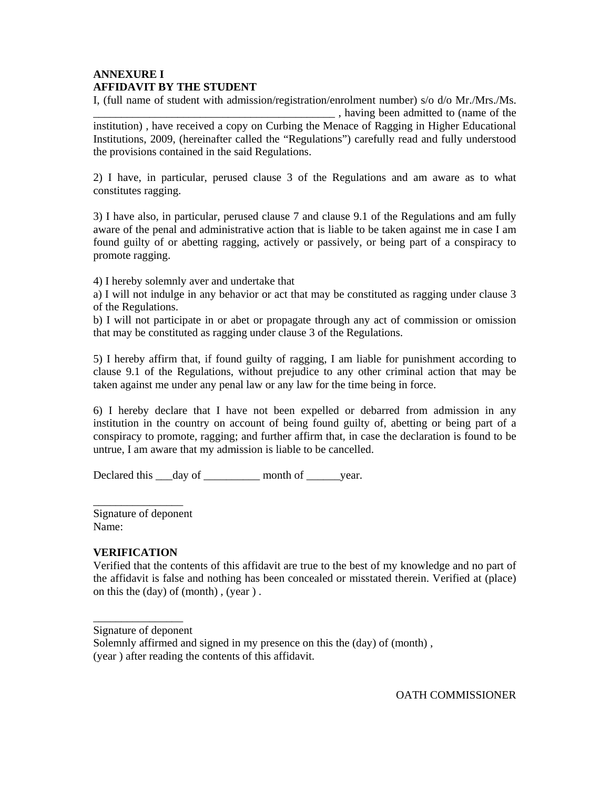## **ANNEXURE I AFFIDAVIT BY THE STUDENT**

I, (full name of student with admission/registration/enrolment number) s/o d/o Mr./Mrs./Ms. \_\_\_\_\_\_\_\_\_\_\_\_\_\_\_\_\_\_\_\_\_\_\_\_\_\_\_\_\_\_\_\_\_\_\_\_\_\_\_\_\_\_\_ , having been admitted to (name of the institution) , have received a copy on Curbing the Menace of Ragging in Higher Educational Institutions, 2009, (hereinafter called the "Regulations") carefully read and fully understood the provisions contained in the said Regulations.

2) I have, in particular, perused clause 3 of the Regulations and am aware as to what constitutes ragging.

3) I have also, in particular, perused clause 7 and clause 9.1 of the Regulations and am fully aware of the penal and administrative action that is liable to be taken against me in case I am found guilty of or abetting ragging, actively or passively, or being part of a conspiracy to promote ragging.

4) I hereby solemnly aver and undertake that

a) I will not indulge in any behavior or act that may be constituted as ragging under clause 3 of the Regulations.

b) I will not participate in or abet or propagate through any act of commission or omission that may be constituted as ragging under clause 3 of the Regulations.

5) I hereby affirm that, if found guilty of ragging, I am liable for punishment according to clause 9.1 of the Regulations, without prejudice to any other criminal action that may be taken against me under any penal law or any law for the time being in force.

6) I hereby declare that I have not been expelled or debarred from admission in any institution in the country on account of being found guilty of, abetting or being part of a conspiracy to promote, ragging; and further affirm that, in case the declaration is found to be untrue, I am aware that my admission is liable to be cancelled.

Declared this \_\_\_day of \_\_\_\_\_\_\_\_\_\_\_ month of \_\_\_\_\_\_year.

\_\_\_\_\_\_\_\_\_\_\_\_\_\_\_\_ Signature of deponent Name:

## **VERIFICATION**

Verified that the contents of this affidavit are true to the best of my knowledge and no part of the affidavit is false and nothing has been concealed or misstated therein. Verified at (place) on this the (day) of (month) , (year ) .

\_\_\_\_\_\_\_\_\_\_\_\_\_\_\_\_ Signature of deponent

Solemnly affirmed and signed in my presence on this the (day) of (month) , (year ) after reading the contents of this affidavit.